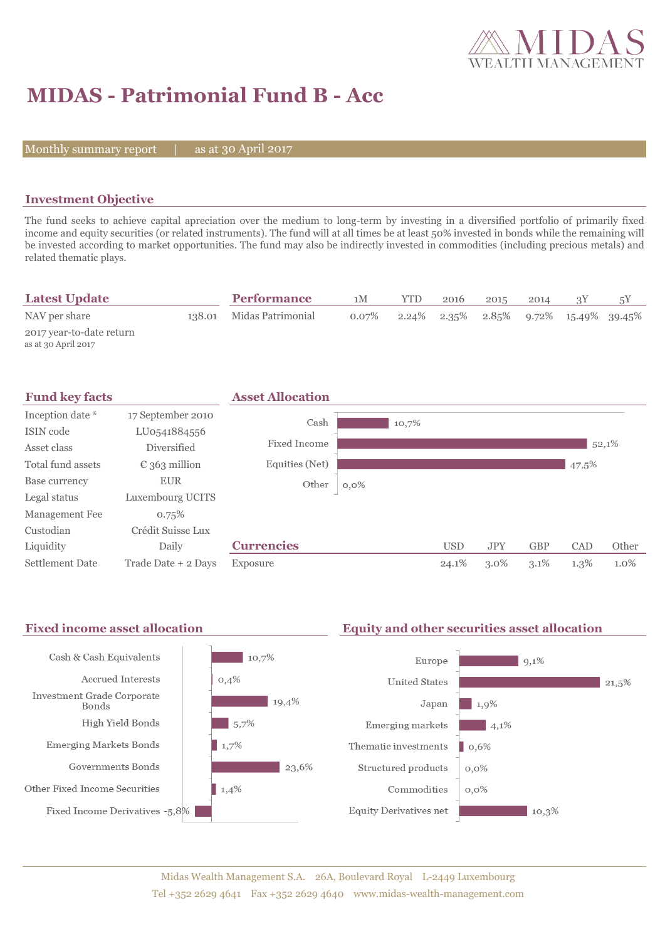

# **MIDAS - Patrimonial Fund B - Acc**

Monthly summary report  $|$ 

as at 30 April 2017

## **Investment Objective**

The fund seeks to achieve capital apreciation over the medium to long-term by investing in a diversified portfolio of primarily fixed income and equity securities (or related instruments). The fund will at all times be at least 50% invested in bonds while the remaining will be invested according to market opportunities. The fund may also be indirectly invested in commodities (including precious metals) and related thematic plays.

| <b>Latest Update</b>                            | <b>Performance</b>       | 1 M      | YTD | 2016 | 2015 | 2014 |                                                         | 5Y |
|-------------------------------------------------|--------------------------|----------|-----|------|------|------|---------------------------------------------------------|----|
| NAV per share                                   | 138.01 Midas Patrimonial | $0.07\%$ |     |      |      |      | $2.24\%$ $2.35\%$ $2.85\%$ $9.72\%$ $15.49\%$ $39.45\%$ |    |
| 2017 year-to-date return<br>as at 30 April 2017 |                          |          |     |      |      |      |                                                         |    |



#### Fixed income asset allocation **Equity and other securities asset allocation** Cash & Cash Equivalents  $10,7%$  $9,1\%$ Europe Accrued Interests  $0,4%$ **United States**  $|21,5\%$ **Investment Grade Corporate**  $19,4%$ Japan  $1,9%$ Bonds High Yield Bonds  $5,7%$ Emerging markets  $\frac{1}{4,1\%}$ **Emerging Markets Bonds**  $1,7%$ Thematic investments  $\log 6\%$ Governments Bonds  $\frac{1}{23,6\%}$ Structured products  $0,0\%$ Other Fixed Income Securities  $\blacksquare$  1,4% Commodities  $0.0\%$ Fixed Income Derivatives -5,8% **Equity Derivatives net**  $10,3\%$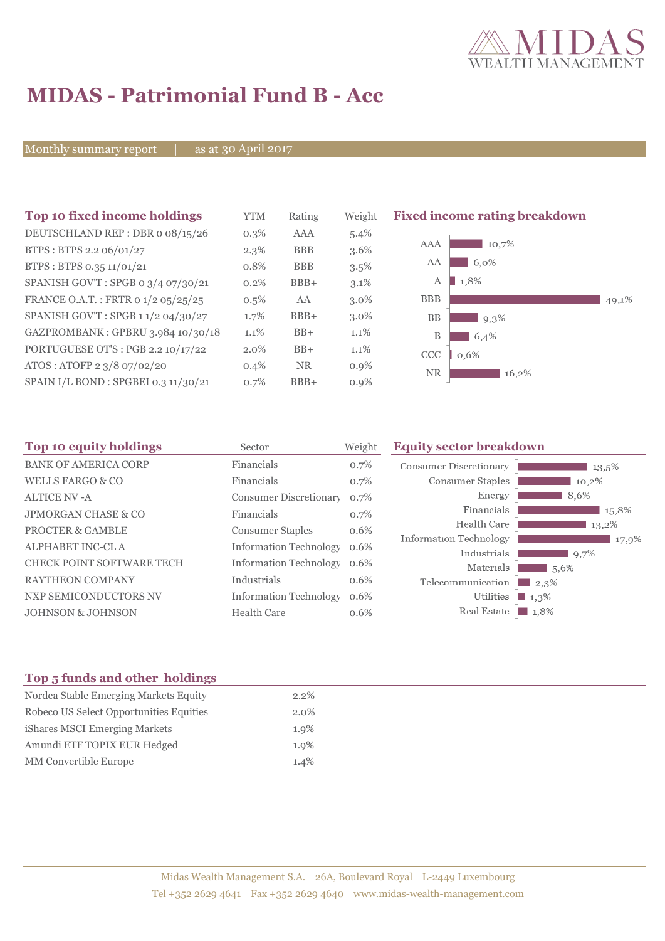

# **MIDAS - Patrimonial Fund B - Acc**

Monthly summary report | as at 30 April 2017

| Top 10 fixed income holdings         | <b>YTM</b> | Rating     | Weight  | <b>Fixed income rating breakdown</b> |
|--------------------------------------|------------|------------|---------|--------------------------------------|
| DEUTSCHLAND REP : DBR o 08/15/26     | $0.3\%$    | AAA        | $5.4\%$ |                                      |
| BTPS: BTPS 2.2 06/01/27              | $2.3\%$    | <b>BBB</b> | $3.6\%$ | 10,7%<br>AAA                         |
| BTPS: BTPS 0.35 11/01/21             | 0.8%       | <b>BBB</b> | $3.5\%$ | 6,0%<br>AA                           |
| SPANISH GOV'T: SPGB 0 3/4 07/30/21   | 0.2%       | $BBB+$     | $3.1\%$ | 1,8%<br>A                            |
| FRANCE O.A.T.: FRTR 0 1/2 05/25/25   | $0.5\%$    | AA         | $3.0\%$ | <b>BBB</b><br>49,1%                  |
| SPANISH GOV'T: SPGB 11/2 04/30/27    | 1.7%       | $BBB+$     | $3.0\%$ | <b>BB</b><br>9,3%                    |
| GAZPROMBANK: GPBRU 3.984 10/30/18    | 1.1%       | $BB+$      | $1.1\%$ | В<br>6,4%                            |
| PORTUGUESE OT'S : PGB 2.2 10/17/22   | 2.0%       | $BB+$      | 1.1%    | CCC<br>0,6%                          |
| ATOS: ATOFP 2 3/8 07/02/20           | 0.4%       | <b>NR</b>  | $0.9\%$ | <b>NR</b><br>16,2%                   |
| SPAIN I/L BOND : SPGBEI 0.3 11/30/21 | 0.7%       | $BBB+$     | $0.9\%$ |                                      |

| Top 10 equity holdings         | Sector                        | Weight | <b>Equity sector breakdown</b> |                |
|--------------------------------|-------------------------------|--------|--------------------------------|----------------|
| <b>BANK OF AMERICA CORP</b>    | Financials                    | 0.7%   | Consumer Discretionary         | $13.5\%$       |
| <b>WELLS FARGO &amp; CO</b>    | Financials                    | 0.7%   | Consumer Staples               | 10,2%          |
| ALTICE NV -A                   | Consumer Discretionary        | 0.7%   | Energy                         | 8,6%           |
| <b>JPMORGAN CHASE &amp; CO</b> | Financials                    | 0.7%   | Financials                     | 15,8%          |
| <b>PROCTER &amp; GAMBLE</b>    | <b>Consumer Staples</b>       | 0.6%   | Health Care                    | 13,2%          |
| ALPHABET INC-CL A              | <b>Information Technology</b> | 0.6%   | Information Technology         | 17,9%          |
| CHECK POINT SOFTWARE TECH      | <b>Information Technology</b> | 0.6%   | Industrials<br>Materials       | 9,7%<br>1,5,6% |
| <b>RAYTHEON COMPANY</b>        | Industrials                   | 0.6%   | Telecommunication              | $2.3\%$        |
| NXP SEMICONDUCTORS NV          | <b>Information Technology</b> | 0.6%   | Utilities                      | 1,3%           |
| <b>JOHNSON &amp; JOHNSON</b>   | <b>Health Care</b>            | 0.6%   | Real Estate                    | 1.8%           |

# **Top 5 funds and other holdings**

| Nordea Stable Emerging Markets Equity   | 2.2%    |
|-----------------------------------------|---------|
| Robeco US Select Opportunities Equities | $2.0\%$ |
| iShares MSCI Emerging Markets           | $1.9\%$ |
| Amundi ETF TOPIX EUR Hedged             | $1.9\%$ |
| <b>MM</b> Convertible Europe            | 1.4%    |